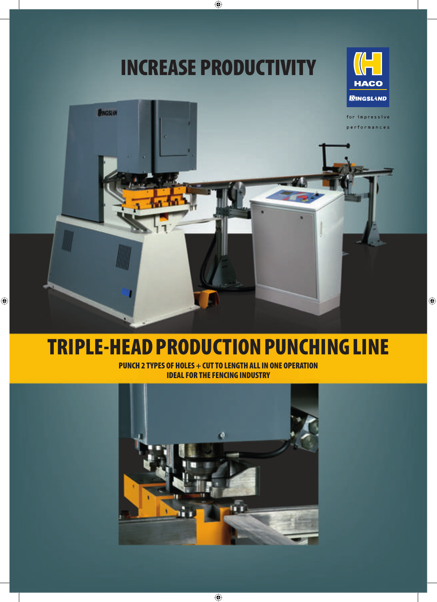# **INCREASE PRODUCTIVITY**





## **TRIPLE-HEAD PRODUCTION PUNCHING LINE**

**PUNCH 2 TYPES OF HOLES + CUT TO LENGTH ALL IN ONE OPERATION IDEAL FOR THE FENCING INDUSTRY**